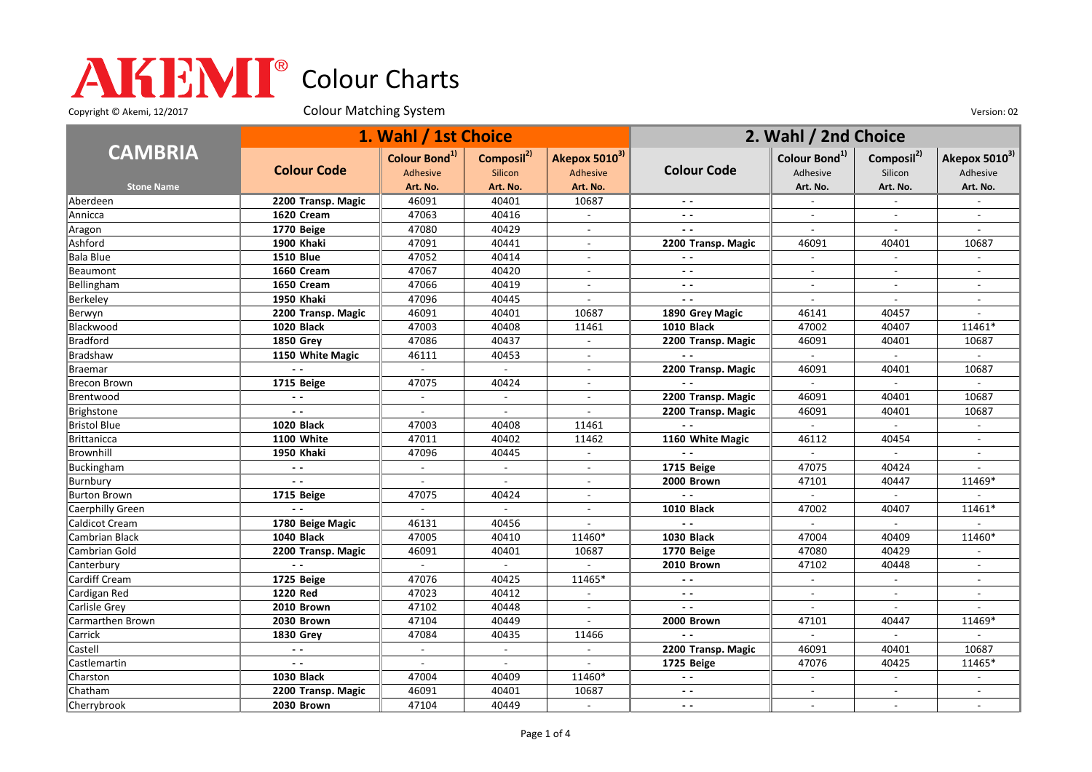Copyright © Akemi, 12/2017 Colour Matching System Colour Matching Consumers Colour Colour Matching System Version: 02

|                     | 1. Wahl / 1st Choice |                           |                          |                           | 2. Wahl / 2nd Choice     |                           |                             |                                       |
|---------------------|----------------------|---------------------------|--------------------------|---------------------------|--------------------------|---------------------------|-----------------------------|---------------------------------------|
| <b>CAMBRIA</b>      | <b>Colour Code</b>   | Colour Bond <sup>1)</sup> | Composil <sup>2)</sup>   | Akepox 5010 <sup>3)</sup> | <b>Colour Code</b>       | Colour Bond <sup>1)</sup> | Composil <sup>2)</sup>      | Akepox 5010 <sup>3)</sup><br>Adhesive |
|                     |                      | <b>Adhesive</b>           | Silicon                  | Adhesive                  |                          | Adhesive                  | Silicon                     |                                       |
| <b>Stone Name</b>   |                      | Art. No.                  | Art. No.                 | Art. No.                  |                          | Art. No.                  | Art. No.                    | Art. No.                              |
| Aberdeen            | 2200 Transp. Magic   | 46091                     | 40401                    | 10687                     |                          |                           | $\mathbf{r}$                |                                       |
| Annicca             | 1620 Cream           | 47063                     | 40416                    | $\sim$                    | $\sim$ $\sim$            | $\overline{\phantom{a}}$  | $\sim$                      |                                       |
| Aragon              | 1770 Beige           | 47080                     | 40429                    | $\blacksquare$            | $\overline{\phantom{a}}$ | $\overline{\phantom{a}}$  | $\blacksquare$              |                                       |
| Ashford             | 1900 Khaki           | 47091                     | 40441                    | $\blacksquare$            | 2200 Transp. Magic       | 46091                     | 40401                       | 10687                                 |
| <b>Bala Blue</b>    | <b>1510 Blue</b>     | 47052                     | 40414                    |                           |                          |                           |                             |                                       |
| Beaumont            | 1660 Cream           | 47067                     | 40420                    | $\overline{a}$            | $\sim$ $\sim$            | $\overline{a}$            | $\sim$                      |                                       |
| Bellingham          | 1650 Cream           | 47066                     | 40419                    | $\blacksquare$            | $ -$                     | $\blacksquare$            | $\blacksquare$              | $\overline{\phantom{a}}$              |
| Berkeley            | 1950 Khaki           | 47096                     | 40445                    | $\overline{a}$            | $\sim$ $\sim$            | $\overline{a}$            | $\overline{\phantom{a}}$    |                                       |
| Berwyn              | 2200 Transp. Magic   | 46091                     | 40401                    | 10687                     | 1890 Grey Magic          | 46141                     | 40457                       |                                       |
| Blackwood           | 1020 Black           | 47003                     | 40408                    | 11461                     | <b>1010 Black</b>        | 47002                     | 40407                       | 11461*                                |
| <b>Bradford</b>     | <b>1850 Grev</b>     | 47086                     | 40437                    | $\overline{\phantom{a}}$  | 2200 Transp. Magic       | 46091                     | 40401                       | 10687                                 |
| Bradshaw            | 1150 White Magic     | 46111                     | 40453                    | $\blacksquare$            | $\sim$ $\sim$            | $\blacksquare$            | $\overline{\phantom{a}}$    |                                       |
| Braemar             |                      | $\sim$                    | $\sim$                   | $\blacksquare$            | 2200 Transp. Magic       | 46091                     | 40401                       | 10687                                 |
| <b>Brecon Brown</b> | 1715 Beige           | 47075                     | 40424                    | $\overline{\phantom{a}}$  | $\sim$ $\sim$            | $\sim$                    | $\sim$                      |                                       |
| Brentwood           | $\sim$ $\sim$        |                           | $\mathbf{r}$             |                           | 2200 Transp. Magic       | 46091                     | 40401                       | 10687                                 |
| Brighstone          | $\sim$ $\sim$        | $\sim$                    | $\overline{\phantom{a}}$ | $\overline{a}$            | 2200 Transp. Magic       | 46091                     | 40401                       | 10687                                 |
| <b>Bristol Blue</b> | <b>1020 Black</b>    | 47003                     | 40408                    | 11461                     |                          | $\overline{\phantom{a}}$  | $\overline{\phantom{a}}$    |                                       |
| <b>Brittanicca</b>  | <b>1100 White</b>    | 47011                     | 40402                    | 11462                     | 1160 White Magic         | 46112                     | 40454                       |                                       |
| Brownhill           | 1950 Khaki           | 47096                     | 40445                    | $\overline{a}$            | $\sim$ $\sim$            | $\mathcal{L}$             | $\mathcal{L}_{\mathcal{A}}$ |                                       |
| Buckingham          | $\sim$ $\sim$        |                           |                          |                           | 1715 Beige               | 47075                     | 40424                       |                                       |
| Burnbury            | $\sim$ $\sim$        | $\overline{a}$            | $\sim$                   | $\overline{\phantom{a}}$  | 2000 Brown               | 47101                     | 40447                       | 11469*                                |
| <b>Burton Brown</b> | 1715 Beige           | 47075                     | 40424                    | $\overline{\phantom{a}}$  | $\overline{a}$           |                           |                             |                                       |
| Caerphilly Green    | $\sim$ $\sim$        | $\sim$                    | $\sim$                   | $\overline{a}$            | <b>1010 Black</b>        | 47002                     | 40407                       | 11461*                                |
| Caldicot Cream      | 1780 Beige Magic     | 46131                     | 40456                    |                           | $\sim$ $\sim$            |                           |                             |                                       |
| Cambrian Black      | 1040 Black           | 47005                     | 40410                    | 11460*                    | <b>1030 Black</b>        | 47004                     | 40409                       | 11460*                                |
| Cambrian Gold       | 2200 Transp. Magic   | 46091                     | 40401                    | 10687                     | 1770 Beige               | 47080                     | 40429                       |                                       |
| Canterbury          |                      |                           | $\sim$                   |                           | 2010 Brown               | 47102                     | 40448                       |                                       |
| Cardiff Cream       | 1725 Beige           | 47076                     | 40425                    | 11465*                    | $\sim$ $\sim$            | $\sim$                    | $\overline{\phantom{a}}$    | $\overline{\phantom{a}}$              |
| Cardigan Red        | 1220 Red             | 47023                     | 40412                    |                           | $\sim$ $\sim$            |                           |                             |                                       |
| Carlisle Grey       | 2010 Brown           | 47102                     | 40448                    | $\mathcal{L}$             | $\sim$ $\sim$            | $\overline{a}$            | $\sim$                      |                                       |
| Carmarthen Brown    | 2030 Brown           | 47104                     | 40449                    | $\blacksquare$            | 2000 Brown               | 47101                     | 40447                       | 11469*                                |
| Carrick             | <b>1830 Grey</b>     | 47084                     | 40435                    | 11466                     |                          |                           |                             |                                       |
| Castell             | $ -$                 | $\sim$                    | $\overline{\phantom{a}}$ | $\sim$                    | 2200 Transp. Magic       | 46091                     | 40401                       | 10687                                 |
| Castlemartin        | $\sim$ $\sim$        |                           |                          |                           | 1725 Beige               | 47076                     | 40425                       | 11465*                                |
| Charston            | <b>1030 Black</b>    | 47004                     | 40409                    | 11460*                    | $\sim$ $\sim$            | $\mathbb{L}$              | $\mathbb{L}^{\mathbb{N}}$   |                                       |
| Chatham             | 2200 Transp. Magic   | 46091                     | 40401                    | 10687                     | $\sim$ $\sim$            | $\blacksquare$            | $\overline{\phantom{a}}$    | $\overline{\phantom{a}}$              |
| Cherrybrook         | 2030 Brown           | 47104                     | 40449                    | $\sim$                    | $\sim$ $\sim$            | $\sim$                    | $\sim$                      | $\sim$                                |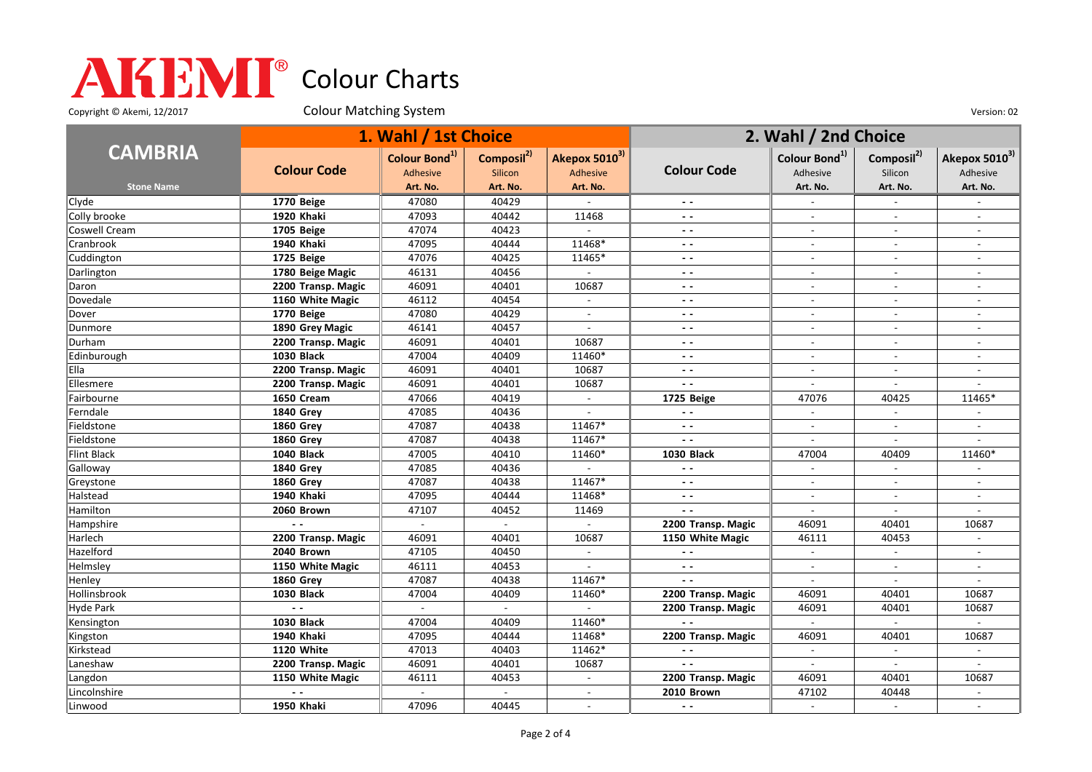Copyright © Akemi, 12/2017 Colour Matching System Colour Matching Consumers Colour Colour Matching System Version: 02

|                   | 1. Wahl / 1st Choice |                                       |                                   |                           | 2. Wahl / 2nd Choice     |                                       |                                   |                                       |
|-------------------|----------------------|---------------------------------------|-----------------------------------|---------------------------|--------------------------|---------------------------------------|-----------------------------------|---------------------------------------|
| <b>CAMBRIA</b>    | <b>Colour Code</b>   | Colour Bond <sup>1)</sup><br>Adhesive | Composil <sup>2)</sup><br>Silicon | Akepox 50103)<br>Adhesive | <b>Colour Code</b>       | Colour Bond <sup>1)</sup><br>Adhesive | Composil <sup>2)</sup><br>Silicon | Akepox 5010 <sup>3)</sup><br>Adhesive |
| <b>Stone Name</b> |                      | Art. No.                              | Art. No.                          | Art. No.                  |                          | Art. No.                              | Art. No.                          | Art. No.                              |
| Clyde             | 1770 Beige           | 47080                                 | 40429                             |                           | $ -$                     |                                       |                                   |                                       |
| Colly brooke      | 1920 Khaki           | 47093                                 | 40442                             | 11468                     | $ -$                     | $\blacksquare$                        | $\blacksquare$                    | $\blacksquare$                        |
| Coswell Cream     | 1705 Beige           | 47074                                 | 40423                             |                           | $ -$                     | $\blacksquare$                        | $\blacksquare$                    | $\blacksquare$                        |
| Cranbrook         | 1940 Khaki           | 47095                                 | 40444                             | 11468*                    | $\sim$ $\sim$            | $\overline{a}$                        | $\overline{a}$                    | $\overline{a}$                        |
| Cuddington        | 1725 Beige           | 47076                                 | 40425                             | 11465*                    | $\sim$ $\sim$            | $\sim$                                | $\overline{\phantom{a}}$          | $\overline{a}$                        |
| Darlington        | 1780 Beige Magic     | 46131                                 | 40456                             |                           | $\sim$ $\sim$            | $\blacksquare$                        |                                   |                                       |
| Daron             | 2200 Transp. Magic   | 46091                                 | 40401                             | 10687                     | $\sim$ $\sim$            | $\blacksquare$                        | $\blacksquare$                    | $\blacksquare$                        |
| Dovedale          | 1160 White Magic     | 46112                                 | 40454                             | $\sim$                    | $ -$                     | $\overline{\phantom{a}}$              | $\overline{\phantom{a}}$          | $\overline{\phantom{a}}$              |
| Dover             | 1770 Beige           | 47080                                 | 40429                             | $\overline{a}$            | $ -$                     | $\overline{\phantom{a}}$              | $\overline{a}$                    | $\overline{a}$                        |
| Dunmore           | 1890 Grey Magic      | 46141                                 | 40457                             |                           | $\sim$ $\sim$            | $\overline{\phantom{a}}$              |                                   | $\overline{a}$                        |
| Durham            | 2200 Transp. Magic   | 46091                                 | 40401                             | 10687                     | $\sim$ $\sim$            | $\overline{a}$                        | $\overline{a}$                    |                                       |
| Edinburough       | <b>1030 Black</b>    | 47004                                 | 40409                             | 11460*                    | $ -$                     | $\overline{\phantom{a}}$              | $\sim$                            | $\overline{\phantom{a}}$              |
| Ella              | 2200 Transp. Magic   | 46091                                 | 40401                             | 10687                     | $ -$                     | $\overline{\phantom{a}}$              | $\overline{\phantom{a}}$          | $\overline{\phantom{a}}$              |
| Ellesmere         | 2200 Transp. Magic   | 46091                                 | 40401                             | 10687                     | $\sim$ $\sim$            | $\sim$                                | $\overline{\phantom{a}}$          | $\overline{a}$                        |
| Fairbourne        | 1650 Cream           | 47066                                 | 40419                             |                           | 1725 Beige               | 47076                                 | 40425                             | 11465*                                |
| Ferndale          | <b>1840 Grev</b>     | 47085                                 | 40436                             | $\sim$                    | $\ddot{\phantom{1}}$     | $\sim$                                | $\overline{a}$                    |                                       |
| Fieldstone        | <b>1860 Grey</b>     | 47087                                 | 40438                             | 11467*                    | $\sim$ $\sim$            | $\blacksquare$                        | $\blacksquare$                    | $\overline{a}$                        |
| Fieldstone        | <b>1860 Grey</b>     | 47087                                 | 40438                             | 11467*                    | $\overline{a}$           | $\overline{a}$                        | $\overline{a}$                    |                                       |
| Flint Black       | <b>1040 Black</b>    | 47005                                 | 40410                             | 11460*                    | <b>1030 Black</b>        | 47004                                 | 40409                             | 11460*                                |
| Galloway          | <b>1840 Grev</b>     | 47085                                 | 40436                             |                           | $\overline{\phantom{a}}$ |                                       |                                   |                                       |
| Greystone         | <b>1860 Grev</b>     | 47087                                 | 40438                             | 11467*                    | $\sim$ $\sim$            | $\overline{a}$                        | $\overline{a}$                    | $\overline{a}$                        |
| Halstead          | 1940 Khaki           | 47095                                 | 40444                             | 11468*                    | $ -$                     | $\overline{\phantom{a}}$              | $\overline{\phantom{a}}$          | $\overline{\phantom{a}}$              |
| Hamilton          | 2060 Brown           | 47107                                 | 40452                             | 11469                     | $\sim$ $\sim$            | $\overline{a}$                        | $\overline{a}$                    | $\overline{a}$                        |
| Hampshire         | $\sim$ $\sim$        |                                       | $\sim$                            | $\sim$                    | 2200 Transp. Magic       | 46091                                 | 40401                             | 10687                                 |
| Harlech           | 2200 Transp. Magic   | 46091                                 | 40401                             | 10687                     | 1150 White Magic         | 46111                                 | 40453                             |                                       |
| Hazelford         | 2040 Brown           | 47105                                 | 40450                             | $\sim$                    | $\sim$ $\sim$            | $\sim$                                | $\overline{a}$                    | $\sim$                                |
| Helmsley          | 1150 White Magic     | 46111                                 | 40453                             |                           | $\sim$ $\sim$            | $\overline{\phantom{a}}$              | $\overline{\phantom{a}}$          | $\overline{a}$                        |
| Henley            | <b>1860 Grey</b>     | 47087                                 | 40438                             | 11467*                    | $\sim$ $\sim$            | $\overline{a}$                        | $\blacksquare$                    | $\overline{a}$                        |
| Hollinsbrook      | <b>1030 Black</b>    | 47004                                 | 40409                             | 11460*                    | 2200 Transp. Magic       | 46091                                 | 40401                             | 10687                                 |
| Hyde Park         | $\sim$               | $\mathbf{r}$                          | $\sim$                            | $\sim$                    | 2200 Transp. Magic       | 46091                                 | 40401                             | 10687                                 |
| Kensington        | <b>1030 Black</b>    | 47004                                 | 40409                             | 11460*                    | $\sim$                   | $\mathbb{L}$                          | $\mathcal{L}$                     | $\sim$                                |
| Kingston          | 1940 Khaki           | 47095                                 | 40444                             | 11468*                    | 2200 Transp. Magic       | 46091                                 | 40401                             | 10687                                 |
| Kirkstead         | 1120 White           | 47013                                 | 40403                             | 11462*                    | $\overline{\phantom{a}}$ | $\overline{\phantom{a}}$              | $\blacksquare$                    | $\sim$                                |
| Laneshaw          | 2200 Transp. Magic   | 46091                                 | 40401                             | 10687                     | $\sim$ $\sim$            |                                       |                                   |                                       |
| Langdon           | 1150 White Magic     | 46111                                 | 40453                             | $\overline{\phantom{a}}$  | 2200 Transp. Magic       | 46091                                 | 40401                             | 10687                                 |
| Lincolnshire      |                      |                                       |                                   | $\blacksquare$            | 2010 Brown               | 47102                                 | 40448                             | $\overline{\phantom{a}}$              |
| Linwood           | <b>1950 Khaki</b>    | 47096                                 | 40445                             |                           |                          | $\sim$                                |                                   | $\overline{a}$                        |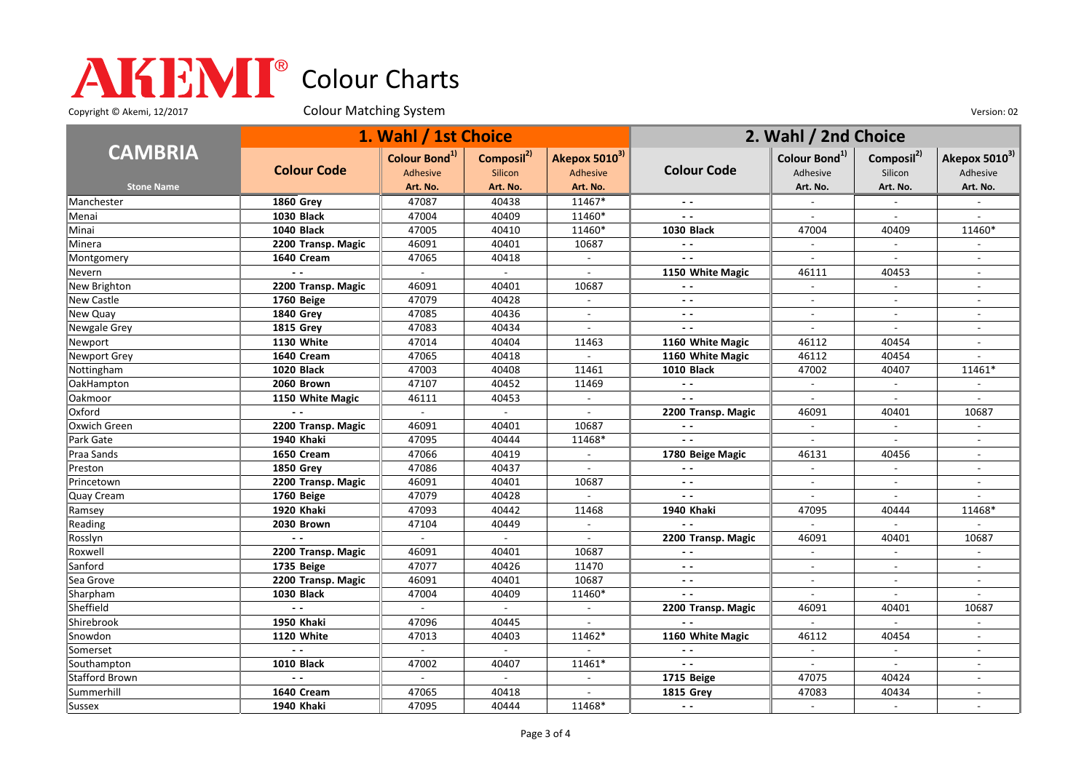Copyright © Akemi, 12/2017 Colour Matching System Colour Matching Consumers Colour Colour Matching System Version: 02

|                       | 1. Wahl / 1st Choice |                                              |                                          |                                       | 2. Wahl / 2nd Choice |                                       |                                   |                               |
|-----------------------|----------------------|----------------------------------------------|------------------------------------------|---------------------------------------|----------------------|---------------------------------------|-----------------------------------|-------------------------------|
| <b>CAMBRIA</b>        | <b>Colour Code</b>   | Colour Bond <sup>1)</sup><br><b>Adhesive</b> | Composil <sup>2)</sup><br><b>Silicon</b> | Akepox 5010 <sup>3)</sup><br>Adhesive | <b>Colour Code</b>   | Colour Bond <sup>1)</sup><br>Adhesive | Composil <sup>2)</sup><br>Silicon | Akepox $5010^{3}$<br>Adhesive |
| <b>Stone Name</b>     |                      | Art. No.                                     | Art. No.                                 | Art. No.                              |                      | Art. No.                              | Art. No.                          | Art. No.                      |
| Manchester            | <b>1860 Grey</b>     | 47087                                        | 40438                                    | 11467*                                |                      |                                       |                                   |                               |
| Menai                 | <b>1030 Black</b>    | 47004                                        | 40409                                    | 11460*                                | $\sim$ $\sim$        | $\overline{a}$                        | $\sim$                            | $\overline{a}$                |
| Minai                 | 1040 Black           | 47005                                        | 40410                                    | 11460*                                | <b>1030 Black</b>    | 47004                                 | 40409                             | 11460*                        |
| Minera                | 2200 Transp. Magic   | 46091                                        | 40401                                    | 10687                                 | $\sim$ $\sim$        | $\overline{\phantom{a}}$              | $\overline{\phantom{a}}$          |                               |
| Montgomery            | 1640 Cream           | 47065                                        | 40418                                    |                                       |                      |                                       |                                   |                               |
| Nevern                | $\sim$ $\sim$        |                                              |                                          | $\overline{a}$                        | 1150 White Magic     | 46111                                 | 40453                             |                               |
| New Brighton          | 2200 Transp. Magic   | 46091                                        | 40401                                    | 10687                                 | $\sim$ $\sim$        | $\mathbf{r}$                          | $\overline{a}$                    | $\sim$                        |
| New Castle            | 1760 Beige           | 47079                                        | 40428                                    | $\blacksquare$                        | $\sim$ $\sim$        | $\blacksquare$                        | $\blacksquare$                    | $\blacksquare$                |
| New Quay              | <b>1840 Grey</b>     | 47085                                        | 40436                                    | $\sim$                                | $\sim$ $\sim$        | $\overline{a}$                        | $\overline{a}$                    | $\overline{a}$                |
| Newgale Grey          | <b>1815 Grey</b>     | 47083                                        | 40434                                    |                                       | $\sim$ $\sim$        | $\blacksquare$                        |                                   |                               |
| Newport               | 1130 White           | 47014                                        | 40404                                    | 11463                                 | 1160 White Magic     | 46112                                 | 40454                             |                               |
| <b>Newport Grey</b>   | 1640 Cream           | 47065                                        | 40418                                    | $\mathbf{r}$                          | 1160 White Magic     | 46112                                 | 40454                             | $\overline{\phantom{a}}$      |
| Nottingham            | 1020 Black           | 47003                                        | 40408                                    | 11461                                 | <b>1010 Black</b>    | 47002                                 | 40407                             | 11461*                        |
| OakHampton            | 2060 Brown           | 47107                                        | 40452                                    | 11469                                 | $\sim$ $\sim$        | $\blacksquare$                        | $\overline{\phantom{a}}$          | $\sim$                        |
| Oakmoor               | 1150 White Magic     | 46111                                        | 40453                                    |                                       | $\sim$ $\sim$        |                                       |                                   |                               |
| Oxford                |                      | $\sim$                                       | $\mathbf{r}$                             | $\mathcal{L}^{\mathcal{L}}$           | 2200 Transp. Magic   | 46091                                 | 40401                             | 10687                         |
| Oxwich Green          | 2200 Transp. Magic   | 46091                                        | 40401                                    | 10687                                 | $\sim$ $\sim$        | $\sim$                                | $\blacksquare$                    | $\blacksquare$                |
| Park Gate             | 1940 Khaki           | 47095                                        | 40444                                    | 11468*                                |                      |                                       |                                   |                               |
| Praa Sands            | 1650 Cream           | 47066                                        | 40419                                    | $\overline{\phantom{a}}$              | 1780 Beige Magic     | 46131                                 | 40456                             | $\blacksquare$                |
| Preston               | 1850 Grey            | 47086                                        | 40437                                    |                                       |                      |                                       |                                   |                               |
| Princetown            | 2200 Transp. Magic   | 46091                                        | 40401                                    | 10687                                 | $ -$                 | $\blacksquare$                        | $\blacksquare$                    | $\blacksquare$                |
| Quay Cream            | 1760 Beige           | 47079                                        | 40428                                    |                                       | $\sim$ $\sim$        | $\sim$                                | $\overline{a}$                    |                               |
| Ramsey                | 1920 Khaki           | 47093                                        | 40442                                    | 11468                                 | 1940 Khaki           | 47095                                 | 40444                             | 11468*                        |
| Reading               | 2030 Brown           | 47104                                        | 40449                                    |                                       | $\sim$ $\sim$        | $\sim$                                |                                   |                               |
| Rosslyn               |                      |                                              |                                          |                                       | 2200 Transp. Magic   | 46091                                 | 40401                             | 10687                         |
| Roxwell               | 2200 Transp. Magic   | 46091                                        | 40401                                    | 10687                                 | $\sim$ $\sim$        | $\overline{\phantom{a}}$              | $\blacksquare$                    |                               |
| Sanford               | 1735 Beige           | 47077                                        | 40426                                    | 11470                                 | $\sim$ $\sim$        | $\blacksquare$                        | $\overline{\phantom{a}}$          | $\blacksquare$                |
| Sea Grove             | 2200 Transp. Magic   | 46091                                        | 40401                                    | 10687                                 | $\sim$ $\sim$        | $\overline{a}$                        | $\overline{a}$                    | $\overline{a}$                |
| Sharpham              | <b>1030 Black</b>    | 47004                                        | 40409                                    | 11460*                                | $\sim$ $\sim$        |                                       |                                   |                               |
| Sheffield             | $\sim$               |                                              |                                          | $\mathbf{r}$                          | 2200 Transp. Magic   | 46091                                 | 40401                             | 10687                         |
| Shirebrook            | 1950 Khaki           | 47096                                        | 40445                                    | $\blacksquare$                        | $\sim$ $\sim$        | $\mathbb{L}^{\mathbb{N}}$             | $\mathcal{L}$                     | $\mathbf{r}$                  |
| Snowdon               | 1120 White           | 47013                                        | 40403                                    | 11462*                                | 1160 White Magic     | 46112                                 | 40454                             | $\overline{\phantom{a}}$      |
| Somerset              | $\sim$ $\sim$        |                                              | $\sim$                                   |                                       | $\sim$ $\sim$        | $\blacksquare$                        | $\blacksquare$                    | $\blacksquare$                |
| Southampton           | <b>1010 Black</b>    | 47002                                        | 40407                                    | 11461*                                | $\sim$ $\sim$        |                                       |                                   |                               |
| <b>Stafford Brown</b> |                      |                                              | $\mathbf{r}$                             | $\mathbb{L}^{\mathbb{N}}$             | 1715 Beige           | 47075                                 | 40424                             | $\overline{a}$                |
| Summerhill            | 1640 Cream           | 47065                                        | 40418                                    | $\overline{a}$                        | <b>1815 Grey</b>     | 47083                                 | 40434                             | $\overline{\phantom{a}}$      |
| Sussex                | 1940 Khaki           | 47095                                        | 40444                                    | 11468*                                | $\sim$ $\sim$        |                                       | $\sim$                            |                               |